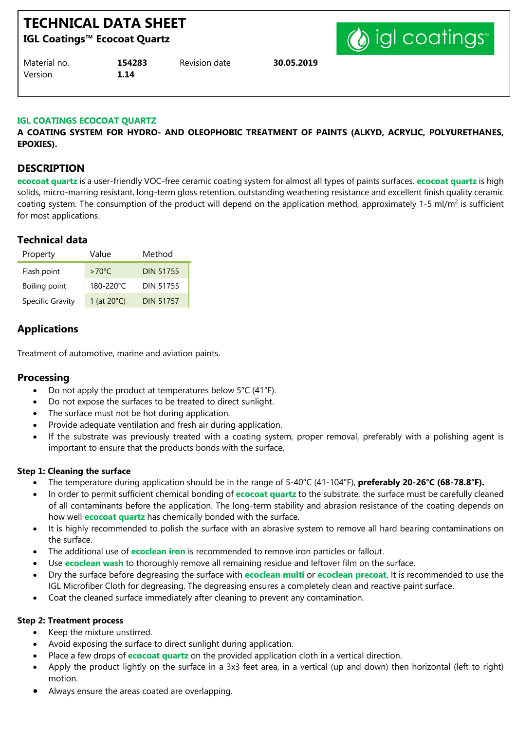# **TECHNICAL DATA SHEET**

**IGL Coatings™ Ecocoat Quartz**



| Material no. | 154283 | Revision date | 30.05.2019 |
|--------------|--------|---------------|------------|
| Version      | 1.14   |               |            |

#### **IGL COATINGS ECOCOAT QUARTZ**

**A COATING SYSTEM FOR HYDRO- AND OLEOPHOBIC TREATMENT OF PAINTS (ALKYD, ACRYLIC, POLYURETHANES, EPOXIES).**

#### **DESCRIPTION**

**ecocoat quartz** is a user-friendly VOC-free ceramic coating system for almost all types of paints surfaces. **ecocoat quartz** is high solids, micro-marring resistant, long-term gloss retention, outstanding weathering resistance and excellent finish quality ceramic coating system. The consumption of the product will depend on the application method, approximately 1-5 ml/m<sup>2</sup> is sufficient for most applications.

## **Technical data**

| Property                | Value                 | Method           |  |
|-------------------------|-----------------------|------------------|--|
| Flash point             | $>70^{\circ}$ C       | <b>DIN 51755</b> |  |
| Boiling point           | 180-220°C             | <b>DIN 51755</b> |  |
| <b>Specific Gravity</b> | 1 (at $20^{\circ}$ C) | <b>DIN 51757</b> |  |

## **Applications**

Treatment of automotive, marine and aviation paints.

#### **Processing**

- Do not apply the product at temperatures below 5°C (41°F).
- Do not expose the surfaces to be treated to direct sunlight.
- The surface must not be hot during application.
- Provide adequate ventilation and fresh air during application.
- If the substrate was previously treated with a coating system, proper removal, preferably with a polishing agent is important to ensure that the products bonds with the surface.

#### **Step 1: Cleaning the surface**

- The temperature during application should be in the range of 5-40°C (41-104°F), **preferably 20-26°C (68-78.8°F).**
- In order to permit sufficient chemical bonding of **ecocoat quartz** to the substrate, the surface must be carefully cleaned of all contaminants before the application. The long-term stability and abrasion resistance of the coating depends on how well **ecocoat quartz** has chemically bonded with the surface.
- It is highly recommended to polish the surface with an abrasive system to remove all hard bearing contaminations on the surface.
- The additional use of **ecoclean iron** is recommended to remove iron particles or fallout.
- Use **ecoclean wash** to thoroughly remove all remaining residue and leftover film on the surface.
- Dry the surface before degreasing the surface with **ecoclean multi** or **ecoclean precoat**. It is recommended to use the IGL Microfiber Cloth for degreasing. The degreasing ensures a completely clean and reactive paint surface.
- Coat the cleaned surface immediately after cleaning to prevent any contamination.

#### **Step 2: Treatment process**

- Keep the mixture unstirred.
- Avoid exposing the surface to direct sunlight during application.
- Place a few drops of **ecocoat quartz** on the provided application cloth in a vertical direction.
- Apply the product lightly on the surface in a 3x3 feet area, in a vertical (up and down) then horizontal (left to right) motion.
- Always ensure the areas coated are overlapping.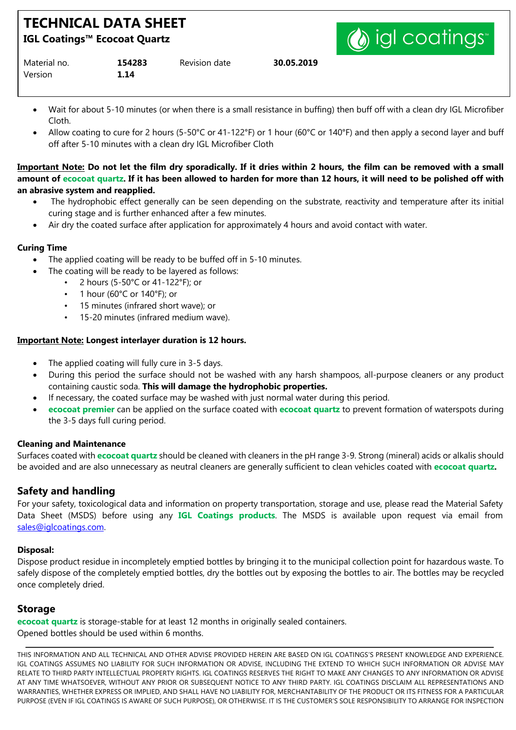# **TECHNICAL DATA SHEET**

**IGL Coatings™ Ecocoat Quartz**

Version **1.14**

| Material no. | 154283 | Revision date | 30.05.2019 |
|--------------|--------|---------------|------------|
|--------------|--------|---------------|------------|

(a) igl coatings

- Wait for about 5-10 minutes (or when there is a small resistance in buffing) then buff off with a clean dry IGL Microfiber Cloth.
- Allow coating to cure for 2 hours (5-50°C or 41-122°F) or 1 hour (60°C or 140°F) and then apply a second layer and buff off after 5-10 minutes with a clean dry IGL Microfiber Cloth

#### **Important Note: Do not let the film dry sporadically. If it dries within 2 hours, the film can be removed with a small amount of ecocoat quartz. If it has been allowed to harden for more than 12 hours, it will need to be polished off with an abrasive system and reapplied.**

- The hydrophobic effect generally can be seen depending on the substrate, reactivity and temperature after its initial curing stage and is further enhanced after a few minutes.
- Air dry the coated surface after application for approximately 4 hours and avoid contact with water.

#### **Curing Time**

- The applied coating will be ready to be buffed off in 5-10 minutes.
	- The coating will be ready to be layered as follows:
		- 2 hours (5-50°C or 41-122°F); or
			- 1 hour (60°C or 140°F); or
			- 15 minutes (infrared short wave); or
		- 15-20 minutes (infrared medium wave).

#### **Important Note: Longest interlayer duration is 12 hours.**

- The applied coating will fully cure in 3-5 days.
- During this period the surface should not be washed with any harsh shampoos, all-purpose cleaners or any product containing caustic soda. **This will damage the hydrophobic properties.**
- If necessary, the coated surface may be washed with just normal water during this period.
- **ecocoat premier** can be applied on the surface coated with **ecocoat quartz** to prevent formation of waterspots during the 3-5 days full curing period.

#### **Cleaning and Maintenance**

Surfaces coated with **ecocoat quartz** should be cleaned with cleaners in the pH range 3-9. Strong (mineral) acids or alkalis should be avoided and are also unnecessary as neutral cleaners are generally sufficient to clean vehicles coated with **ecocoat quartz.**

## **Safety and handling**

For your safety, toxicological data and information on property transportation, storage and use, please read the Material Safety Data Sheet (MSDS) before using any **IGL Coatings products**. The MSDS is available upon request via email from sales@iglcoatings.com.

#### **Disposal:**

Dispose product residue in incompletely emptied bottles by bringing it to the municipal collection point for hazardous waste. To safely dispose of the completely emptied bottles, dry the bottles out by exposing the bottles to air. The bottles may be recycled once completely dried.

#### **Storage**

**ecocoat quartz** is storage-stable for at least 12 months in originally sealed containers. Opened bottles should be used within 6 months.

THIS INFORMATION AND ALL TECHNICAL AND OTHER ADVISE PROVIDED HEREIN ARE BASED ON IGL COATINGS'S PRESENT KNOWLEDGE AND EXPERIENCE. IGL COATINGS ASSUMES NO LIABILITY FOR SUCH INFORMATION OR ADVISE, INCLUDING THE EXTEND TO WHICH SUCH INFORMATION OR ADVISE MAY RELATE TO THIRD PARTY INTELLECTUAL PROPERTY RIGHTS. IGL COATINGS RESERVES THE RIGHT TO MAKE ANY CHANGES TO ANY INFORMATION OR ADVISE AT ANY TIME WHATSOEVER, WITHOUT ANY PRIOR OR SUBSEQUENT NOTICE TO ANY THIRD PARTY. IGL COATINGS DISCLAIM ALL REPRESENTATIONS AND WARRANTIES, WHETHER EXPRESS OR IMPLIED, AND SHALL HAVE NO LIABILITY FOR, MERCHANTABILITY OF THE PRODUCT OR ITS FITNESS FOR A PARTICULAR PURPOSE (EVEN IF IGL COATINGS IS AWARE OF SUCH PURPOSE), OR OTHERWISE. IT IS THE CUSTOMER'S SOLE RESPONSIBILITY TO ARRANGE FOR INSPECTION